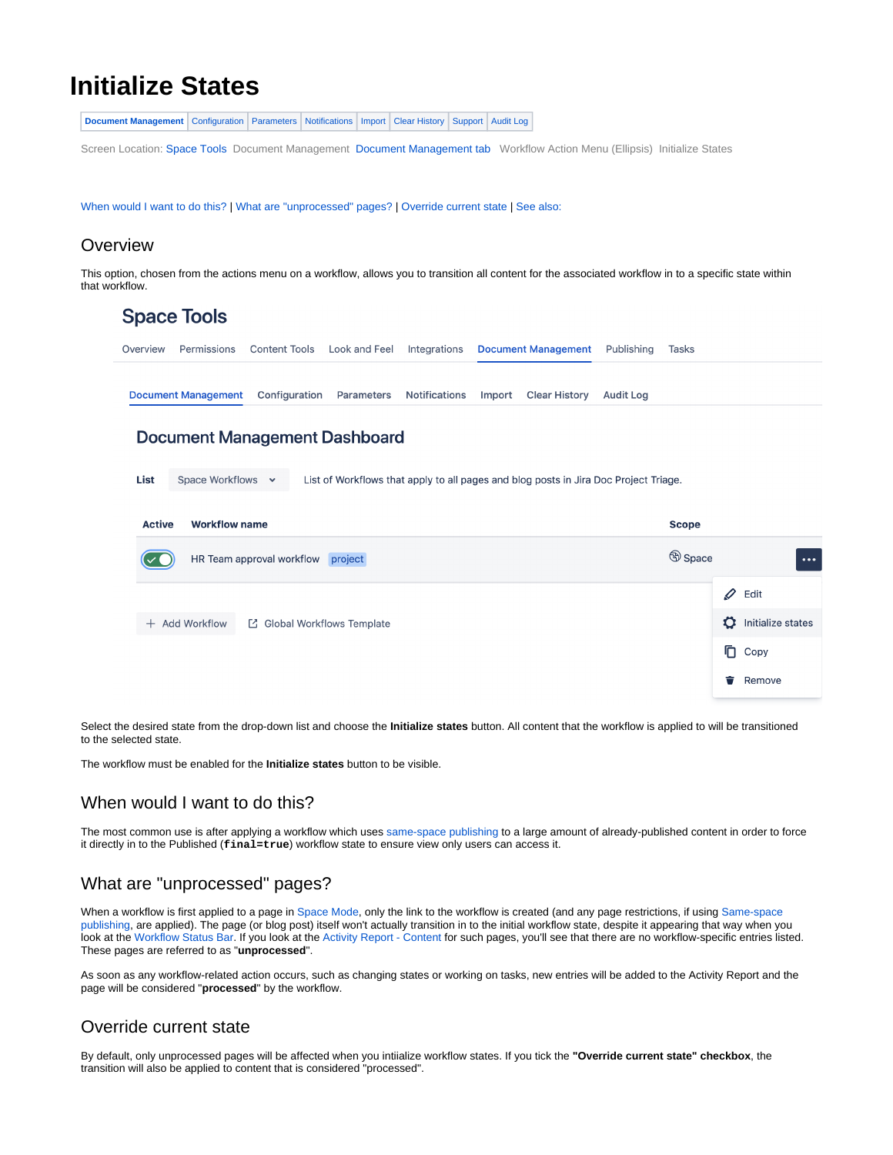# <span id="page-0-0"></span>**Initialize States**

**[Document Management](#page-0-0)** [Configuration](https://wiki.comalatech.com/display/CDML/Configuration+-+Space+Tools) [Parameters](https://wiki.comalatech.com/display/CDML/Parameters+-+Space+Tools) [Notifications](https://wiki.comalatech.com/display/CDML/Notifications+-+Space+Tools) [Import](https://wiki.comalatech.com/display/CDML/Import+-+Space+Tools) [Clear History](https://wiki.comalatech.com/display/CDML/Clear+History+-+Space+Tools) [Support](https://wiki.comalatech.com/display/CDML/Support+Console+-+Space+Tools) [Audit Log](https://wiki.comalatech.com/display/CDML/Audit+Log+-+Space+Tools)

Screen Location: [Space Tools](https://wiki.comalatech.com/display/CDML/Space+Admin) Document Management [Document Management tab](https://wiki.comalatech.com/display/CDML/Document+Management+-+Space+Tools) Workflow Action Menu (Ellipsis) Initialize States

[When would I want to do this?](https://wiki.comalatech.com/pages/viewpage.action?pageId=84935148#InitializeStates-WhenwouldIwanttodothis?) | [What are "unprocessed" pages?](https://wiki.comalatech.com/pages/viewpage.action?pageId=84935148#InitializeStates-Whatare"unprocessed"pages?) | [Override current state](https://wiki.comalatech.com/pages/viewpage.action?pageId=84935148#InitializeStates-Overridecurrentstate) | [See also:](https://wiki.comalatech.com/pages/viewpage.action?pageId=84935148#InitializeStates-Seealso:)

#### **Overview**

This option, chosen from the actions menu on a workflow, allows you to transition all content for the associated workflow in to a specific state within that workflow.

| <b>Space Tools</b>         |                             |                                 |               |                            |                      |            |       |
|----------------------------|-----------------------------|---------------------------------|---------------|----------------------------|----------------------|------------|-------|
| Permissions<br>Overview    | Content Tools Look and Feel |                                 | Integrations  | <b>Document Management</b> |                      | Publishing | Tasks |
| <b>Document Management</b> |                             | <b>Configuration Parameters</b> | Notifications |                            | Import Clear History | Audit Log  |       |

## **Document Management Dashboard**

**List Space Workflows** List of Workflows that apply to all pages and blog posts in Jira Doc Project Triage.

| <b>Active</b><br><b>Workflow name</b>         | <b>Scope</b>             |
|-----------------------------------------------|--------------------------|
| HR Team approval workflow project             | <b>Space</b><br>$\cdots$ |
|                                               | I<br>Edit                |
| + Add Workflow<br>□ Global Workflows Template | Ö<br>Initialize states   |
|                                               | hg Copy                  |
|                                               | Remove<br>₸              |

Select the desired state from the drop-down list and choose the **Initialize states** button. All content that the workflow is applied to will be transitioned to the selected state.

The workflow must be enabled for the **Initialize states** button to be visible.

## When would I want to do this?

The most common use is after applying a workflow which uses [same-space publishing](https://wiki.comalatech.com/display/CDML/Same-space+publishing) to a large amount of already-published content in order to force it directly in to the Published (**final=true**) workflow state to ensure view only users can access it.

## What are "unprocessed" pages?

When a workflow is first applied to a page in [Space Mode](https://wiki.comalatech.com/display/CDML/Space+Mode), only the link to the workflow is created (and any page restrictions, if using Same-space [publishing](https://wiki.comalatech.com/display/CDML/Same-space+publishing), are applied). The page (or blog post) itself won't actually transition in to the initial workflow state, despite it appearing that way when you look at the [Workflow Status Bar](https://wiki.comalatech.com/display/CDML/Workflow+Status+Bar). If you look at the [Activity Report - Content](https://wiki.comalatech.com/display/CDML/Activity+Report+-+Content) for such pages, you'll see that there are no workflow-specific entries listed. These pages are referred to as "**unprocessed**".

As soon as any workflow-related action occurs, such as changing states or working on tasks, new entries will be added to the Activity Report and the page will be considered "**processed**" by the workflow.

## Override current state

By default, only unprocessed pages will be affected when you intiialize workflow states. If you tick the **"Override current state" checkbox**, the transition will also be applied to content that is considered "processed".